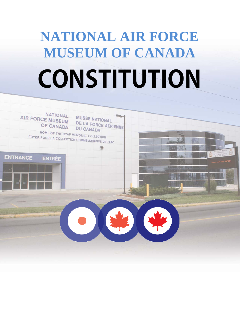# **NATIONAL AIR FORCE MUSEUM OF CANADA CONSTITUTION**

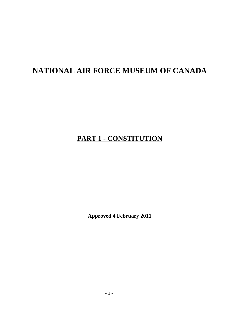# **NATIONAL AIR FORCE MUSEUM OF CANADA**

# **PART 1 - CONSTITUTION**

**Approved 4 February 2011**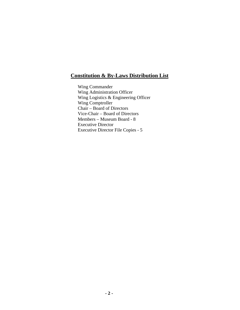### **Constitution & By-Laws Distribution List**

Wing Commander Wing Administration Officer Wing Logistics & Engineering Officer Wing Comptroller Chair – Board of Directors Vice-Chair – Board of Directors Members – Museum Board - 8 Executive Director Executive Director File Copies - 5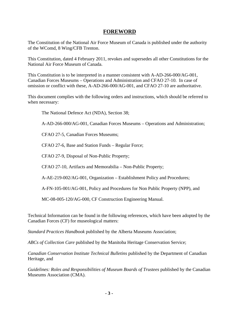#### **FOREWORD**

The Constitution of the National Air Force Museum of Canada is published under the authority of the WComd, 8 Wing/CFB Trenton.

This Constitution, dated 4 February 2011, revokes and supersedes all other Constitutions for the National Air Force Museum of Canada.

This Constitution is to be interpreted in a manner consistent with A-AD-266-000/AG-001, Canadian Forces Museums – Operations and Administration and CFAO 27-10. In case of omission or conflict with these, A-AD-266-000/AG-001, and CFAO 27-10 are authoritative.

This document complies with the following orders and instructions, which should be referred to when necessary:

The National Defence Act (NDA), Section 38;

A-AD-266-000/AG-001, Canadian Forces Museums – Operations and Administration;

CFAO 27-5, Canadian Forces Museums;

CFAO 27-6, Base and Station Funds – Regular Force;

CFAO 27-9, Disposal of Non-Public Property;

CFAO 27-10, Artifacts and Memorabilia – Non-Public Property;

A-AE-219-002/AG-001, Organization – Establishment Policy and Procedures;

A-FN-105-001/AG-001, Policy and Procedures for Non Public Property (NPP), and

MC-08-005-120/AG-000, CF Construction Engineering Manual.

Technical Information can be found in the following references, which have been adopted by the Canadian Forces (CF) for museological matters:

*Standard Practices Handbook* published by the Alberta Museums Association;

*ABCs of Collection Care* published by the Manitoba Heritage Conservation Service;

*Canadian Conservation Institute Technical Bulletins* published by the Department of Canadian Heritage, and

*Guidelines: Roles and Responsibilities of Museum Boards of Trustees* published by the Canadian Museums Association (CMA).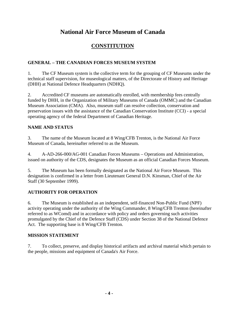## **National Air Force Museum of Canada**

## **CONSTITUTION**

#### **GENERAL – THE CANADIAN FORCES MUSEUM SYSTEM**

1. The CF Museum system is the collective term for the grouping of CF Museums under the technical staff supervision, for museological matters, of the Directorate of History and Heritage (DHH) at National Defence Headquarters (NDHQ).

2. Accredited CF museums are automatically enrolled, with membership fees centrally funded by DHH, in the Organization of Military Museums of Canada (OMMC) and the Canadian Museum Association (CMA). Also, museum staff can resolve collection, conservation and preservation issues with the assistance of the Canadian Conservation Institute (CCI) - a special operating agency of the federal Department of Canadian Heritage.

#### **NAME AND STATUS**

3. The name of the Museum located at 8 Wing/CFB Trenton, is the National Air Force Museum of Canada, hereinafter referred to as the Museum.

4. A-AD-266-000/AG-001 Canadian Forces Museums – Operations and Administration, issued on authority of the CDS, designates the Museum as an official Canadian Forces Museum.

5. The Museum has been formally designated as the National Air Force Museum. This designation is confirmed in a letter from Lieutenant General D.N. Kinsman, Chief of the Air Staff (30 September 1999).

#### **AUTHORITY FOR OPERATION**

6. The Museum is established as an independent, self-financed Non-Public Fund (NPF) activity operating under the authority of the Wing Commander, 8 Wing/CFB Trenton (hereinafter referred to as WComd) and in accordance with policy and orders governing such activities promulgated by the Chief of the Defence Staff (CDS) under Section 38 of the National Defence Act. The supporting base is 8 Wing/CFB Trenton.

#### **MISSION STATEMENT**

7. To collect, preserve, and display historical artifacts and archival material which pertain to the people, missions and equipment of Canada's Air Force.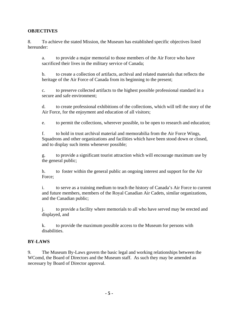#### **OBJECTIVES**

 8. To achieve the stated Mission, the Museum has established specific objectives listed hereunder:

a. to provide a major memorial to those members of the Air Force who have sacrificed their lives in the military service of Canada;

b. to create a collection of artifacts, archival and related materials that reflects the heritage of the Air Force of Canada from its beginning to the present;

c. to preserve collected artifacts to the highest possible professional standard in a secure and safe environment;

d. to create professional exhibitions of the collections, which will tell the story of the Air Force, for the enjoyment and education of all visitors;

e. to permit the collections, wherever possible, to be open to research and education;

f. to hold in trust archival material and memorabilia from the Air Force Wings, Squadrons and other organizations and facilities which have been stood down or closed, and to display such items whenever possible;

g. to provide a significant tourist attraction which will encourage maximum use by the general public;

h. to foster within the general public an ongoing interest and support for the Air Force;

i. to serve as a training medium to teach the history of Canada's Air Force to current and future members, members of the Royal Canadian Air Cadets, similar organizations, and the Canadian public;

j. to provide a facility where memorials to all who have served may be erected and displayed, and

k. to provide the maximum possible access to the Museum for persons with disabilities.

#### **BY-LAWS**

9. The Museum By-Laws govern the basic legal and working relationships between the WComd, the Board of Directors and the Museum staff. As such they may be amended as necessary by Board of Director approval.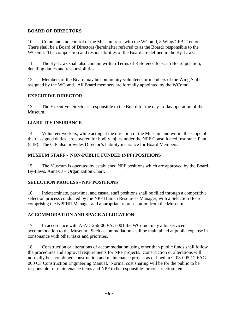#### **BOARD OF DIRECTORS**

10. Command and control of the Museum rests with the WComd, 8 Wing/CFB Trenton. There shall be a Board of Directors (hereinafter referred to as the Board) responsible to the WComd. The composition and responsibilities of the Board are defined in the By-Laws.

11. The By-Laws shall also contain written Terms of Reference for each Board position, detailing duties and responsibilities.

12. Members of the Board may be community volunteers or members of the Wing Staff assigned by the WComd. All Board members are formally appointed by the WComd.

#### **EXECUTIVE DIRECTOR**

13. The Executive Director is responsible to the Board for the day-to-day operation of the Museum.

#### **LIABILITY INSURANCE**

14. Volunteer workers, while acting at the direction of the Museum and within the scope of their assigned duties, are covered for bodily injury under the NPF Consolidated Insurance Plan (CIP). The CIP also provides Director's liability insurance for Board Members.

#### **MUSEUM STAFF - NON-PUBLIC FUNDED (NPF) POSITIONS**

15. The Museum is operated by established NPF positions which are approved by the Board. By-Laws, Annex J – Organization Chart.

#### **SELECTION PROCESS - NPF POSITIONS**

16. Indeterminate, part-time, and casual staff positions shall be filled through a competitive selection process conducted by the NPF Human Resources Manager, with a Selection Board comprising the NPFHR Manager and appropriate representation from the Museum.

#### **ACCOMMODATION AND SPACE ALLOCATION**

17. In accordance with A-AD-266-000/AG-001 the WComd, may allot serviced accommodation to the Museum. Such accommodation shall be maintained at public expense in consonance with other tasks and priorities.

18. Construction or alterations of accommodation using other than public funds shall follow the procedures and approval requirements for NPF projects. Construction or alterations will normally be a combined construction and maintenance project as defined in C-08-005-120/AG-000 CF Construction Engineering Manual. Normal cost sharing will be for the public to be responsible for maintenance items and NPF to be responsible for construction items.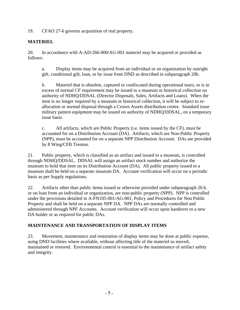19. CFAO 27-6 governs acquisition of real property.

#### **MATERIEL**

20. In accordance with A-AD-266-000/AG-001 materiel may be acquired or provided as follows:

a. Display items may be acquired from an individual or an organization by outright gift, conditional gift, loan, or by issue from DND as described in subparagraph 20b.

b. Materiel that is obsolete, captured or confiscated during operational tours, or is in excess of normal CF requirement may be issued to a museum or historical collection on authority of NDHQ/DDSAL (Director Disposals, Sales, Artifacts and Loans). When the item is no longer required by a museum or historical collection, it will be subject to reallocation or normal disposal through a Crown Assets distribution centre. Standard issue military pattern equipment may be issued on authority of NDHQ/DDSAL, on a temporary issue basis.

c. All artifacts, which are Public Property (i.e. items issued by the CF), must be accounted for on a Distribution Account (DA). Artifacts, which are Non-Public Property (NPP), must be accounted for on a separate NPP Distribution Account. DAs are provided by 8 Wing/CFB Trenton.

21. Public property, which is classified as an artifact and issued to a museum, is controlled through NDHQ/DDSAL. DDSAL will assign an artifact stock number and authorize the museum to hold that item on its Distribution Account (DA). All public property issued to a museum shall be held on a separate museum DA. Account verification will occur on a periodic basis as per Supply regulations.

22. Artifacts other than public items issued or otherwise provided under subparagraph 20.b. or on loan from an individual or organization, are non-public property (NPP). NPP is controlled under the provisions detailed in A-FN105-001/AG-001, Policy and Procedures for Non Public Property and shall be held on a separate NPP DA. NPP DAs are normally controlled and administered through NPF Accounts. Account verification will occur upon handover to a new DA holder or as required for public DAs.

#### **MAINTENANCE AND TRANSPORTATION OF DISPLAY ITEMS**

23. Movement, maintenance and restoration of display items may be done at public expense, using DND facilities where available, without affecting title of the materiel so moved, maintained or restored. Environmental control is essential to the maintenance of artifact safety and integrity.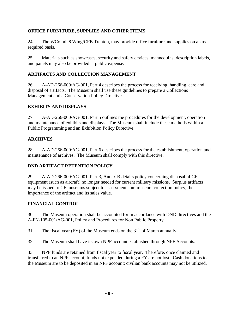#### **OFFICE FURNITURE, SUPPLIES AND OTHER ITEMS**

24. The WComd, 8 Wing/CFB Trenton, may provide office furniture and supplies on an asrequired basis.

25. Materials such as showcases, security and safety devices, mannequins, description labels, and panels may also be provided at public expense.

#### **ARTIFACTS AND COLLECTION MANAGEMENT**

26. A-AD-266-000/AG-001, Part 4 describes the process for receiving, handling, care and disposal of artifacts. The Museum shall use these guidelines to prepare a Collections Management and a Conservation Policy Directive.

#### **EXHIBITS AND DISPLAYS**

27. A-AD-266-000/AG-001, Part 5 outlines the procedures for the development, operation and maintenance of exhibits and displays. The Museum shall include these methods within a Public Programming and an Exhibition Policy Directive.

#### **ARCHIVES**

28. A-AD-266-000/AG-001, Part 6 describes the process for the establishment, operation and maintenance of archives. The Museum shall comply with this directive.

#### **DND ARTIFACT RETENTION POLICY**

29. A-AD-266-000/AG-001, Part 3, Annex B details policy concerning disposal of CF equipment (such as aircraft) no longer needed for current military missions. Surplus artifacts may be issued to CF museums subject to assessments on: museum collection policy, the importance of the artifact and its sales value.

#### **FINANCIAL CONTROL**

30. The Museum operation shall be accounted for in accordance with DND directives and the A-FN-105-001/AG-001, Policy and Procedures for Non Public Property.

31. The fiscal year (FY) of the Museum ends on the  $31<sup>st</sup>$  of March annually.

32. The Museum shall have its own NPF account established through NPF Accounts.

33. NPF funds are retained from fiscal year to fiscal year. Therefore, once claimed and transferred to an NPF account, funds not expended during a FY are not lost. Cash donations to the Museum are to be deposited in an NPF account; civilian bank accounts may not be utilized.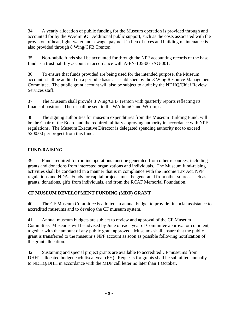34. A yearly allocation of public funding for the Museum operation is provided through and accounted for by the WAdminO. Additional public support, such as the costs associated with the provision of heat, light, water and sewage, payment in lieu of taxes and building maintenance is also provided through 8 Wing/CFB Trenton.

35. Non-public funds shall be accounted for through the NPF accounting records of the base fund as a trust liability account in accordance with A-FN-105-001/AG-001.

36. To ensure that funds provided are being used for the intended purpose, the Museum accounts shall be audited on a periodic basis as established by the 8 Wing Resource Management Committee. The public grant account will also be subject to audit by the NDHQ/Chief Review Services staff.

37. The Museum shall provide 8 Wing/CFB Trenton with quarterly reports reflecting its financial position. These shall be sent to the WAdminO and WCompt.

38. The signing authorities for museum expenditures from the Museum Building Fund, will be the Chair of the Board and the required military approving authority in accordance with NPF regulations. The Museum Executive Director is delegated spending authority not to exceed \$200.00 per project from this fund.

#### **FUND-RAISING**

39. Funds required for routine operations must be generated from other resources, including grants and donations from interested organizations and individuals. The Museum fund-raising activities shall be conducted in a manner that is in compliance with the Income Tax Act, NPF regulations and NDA. Funds for capital projects must be generated from other sources such as grants, donations, gifts from individuals, and from the RCAF Memorial Foundation.

#### **CF MUSEUM DEVELOPMENT FUNDING (MDF) GRANT**

40. The CF Museum Committee is allotted an annual budget to provide financial assistance to accredited museums and to develop the CF museum system.

41. Annual museum budgets are subject to review and approval of the CF Museum Committee. Museums will be advised by June of each year of Committee approval or comment, together with the amount of any public grant approved. Museums shall ensure that the public grant is transferred to the museum's NPF account as soon as possible following notification of the grant allocation.

42. Sustaining and special project grants are available to accredited CF museums from DHH's allocated budget each fiscal year (FY). Requests for grants shall be submitted annually to NDHQ/DHH in accordance with the MDF call letter no later than 1 October.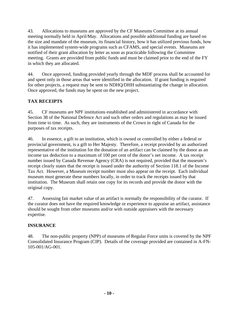43. Allocations to museums are approved by the CF Museums Committee at its annual meeting normally held in April/May. Allocations and possible additional funding are based on the size and mandate of the museum, its financial history, how it has utilized previous funds, how it has implemented system-wide programs such as CFAMS, and special events. Museums are notified of their grant allocation by letter as soon as practicable following the Committee meeting. Grants are provided from public funds and must be claimed prior to the end of the FY in which they are allocated.

44. Once approved, funding provided yearly through the MDF process shall be accounted for and spent only in those areas that were identified in the allocation. If grant funding is required for other projects, a request may be sent to NDHQ/DHH substantiating the change in allocation. Once approved, the funds may be spent on the new project.

#### **TAX RECEIPTS**

45. CF museums are NPF institutions established and administered in accordance with Section 38 of the National Defence Act and such other orders and regulations as may be issued from time to time. As such, they are instruments of the Crown in right of Canada for the purposes of tax receipts.

46. In essence, a gift to an institution, which is owned or controlled by either a federal or provincial government, is a gift to Her Majesty. Therefore, a receipt provided by an authorized representative of the institution for the donation of an artifact can be claimed by the donor as an income tax deduction to a maximum of 100 per cent of the donor's net income. A tax receipt number issued by Canada Revenue Agency (CRA) is not required, provided that the museum's receipt clearly states that the receipt is issued under the authority of Section 118.1 of the Income Tax Act. However, a Museum receipt number must also appear on the receipt. Each individual museum must generate these numbers locally, in order to track the receipts issued by that institution. The Museum shall retain one copy for its records and provide the donor with the original copy.

47. Assessing fair market value of an artifact is normally the responsibility of the curator. If the curator does not have the required knowledge or experience to appraise an artifact, assistance should be sought from other museums and/or with outside appraisers with the necessary expertise.

#### **INSURANCE**

48. The non-public property (NPP) of museums of Regular Force units is covered by the NPF Consolidated Insurance Program (CIP). Details of the coverage provided are contained in A-FN-105-001/AG-001.